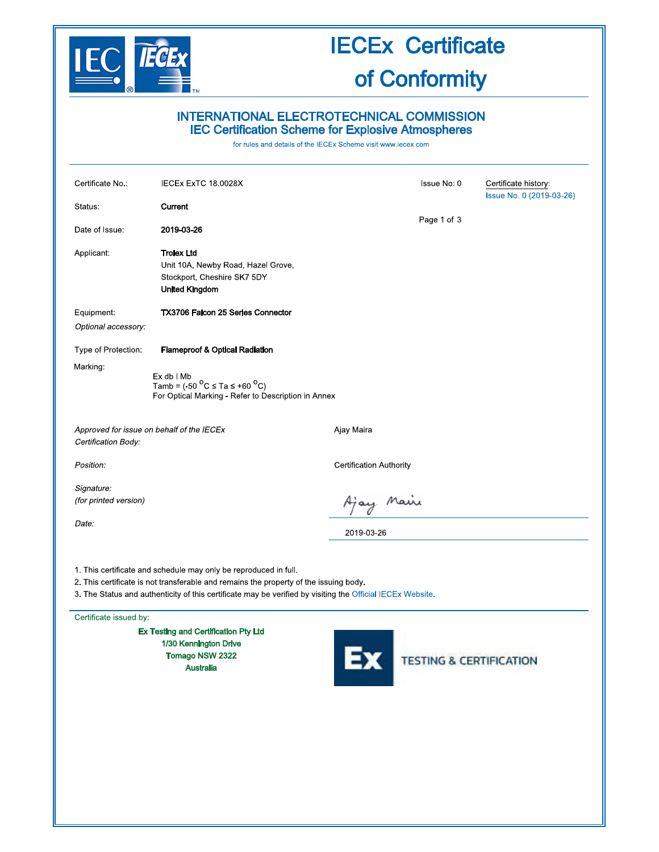

# **IECEx Certificate**

## of Conformity

### INTERNATIONAL ELECTROTECHNICAL COMMISSION **IEC Certification Scheme for Explosive Atmospheres**

for rules and details of the IECEx Scheme visit www.iecex.com

| Certificate No.:                                                 | IECEx ExTC 18.0028X                                                                                                                                                                                                                                                     |                                | Issue No: 0                        | Certificate history:     |
|------------------------------------------------------------------|-------------------------------------------------------------------------------------------------------------------------------------------------------------------------------------------------------------------------------------------------------------------------|--------------------------------|------------------------------------|--------------------------|
| Status:                                                          | Current                                                                                                                                                                                                                                                                 |                                |                                    | Issue No. 0 (2019-03-26) |
| Date of Issue.                                                   | 2019-03-26                                                                                                                                                                                                                                                              |                                | Page 1 of 3                        |                          |
| Applicant:                                                       | <b>Trolex Ltd</b><br>Unit 10A, Newby Road, Hazel Grove,<br>Stockport, Cheshire SK7 5DY<br><b>United Kingdom</b>                                                                                                                                                         |                                |                                    |                          |
| Equipment:<br>Optional accessory:                                | TX3706 Falcon 25 Series Connector                                                                                                                                                                                                                                       |                                |                                    |                          |
| Type of Protection:<br>Marking:                                  | <b>Flameproof &amp; Optical Radiation</b><br>Ex db I Mb<br>Tamb = $(-50 \, \text{°C} \leq \text{Ta} \leq +60 \, \text{°C})$<br>For Optical Marking - Refer to Description in Annex                                                                                      |                                |                                    |                          |
| Approved for issue on behalf of the IECEx<br>Certification Body: |                                                                                                                                                                                                                                                                         | Ajay Maira                     |                                    |                          |
| Position:                                                        |                                                                                                                                                                                                                                                                         | <b>Certification Authority</b> |                                    |                          |
| Signature:<br>(for printed version)<br>Date:                     |                                                                                                                                                                                                                                                                         | Ajay Maire<br>2019-03-26       |                                    |                          |
|                                                                  | 1. This certificate and schedule may only be reproduced in full.<br>2. This certificate is not transferable and remains the property of the issuing body.<br>3. The Status and authenticity of this certificate may be verified by visiting the Official IECEx Website. |                                |                                    |                          |
| Certificate issued by:                                           |                                                                                                                                                                                                                                                                         |                                |                                    |                          |
|                                                                  | Ex Testing and Certification Pty Ltd<br>1/30 Kennington Drive<br>Tomago NSW 2322<br><b>Australia</b>                                                                                                                                                                    |                                | <b>TESTING &amp; CERTIFICATION</b> |                          |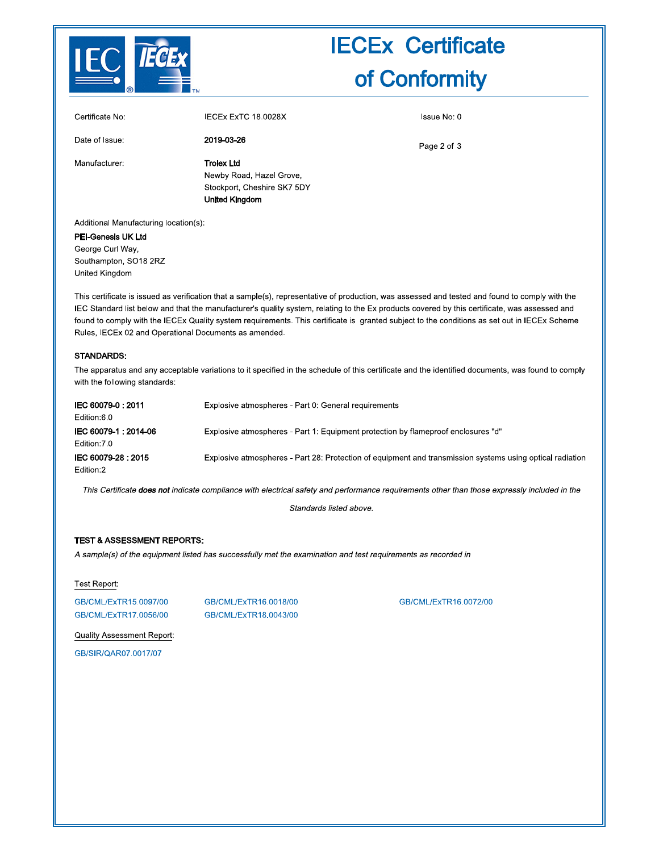

## **IECEx Certificate** of Conformity

| Certificate No: | IECEx ExTC 18.0028X                                                                                   | Issue No: 0 |
|-----------------|-------------------------------------------------------------------------------------------------------|-------------|
| Date of Issue:  | 2019-03-26                                                                                            | Page 2 of 3 |
| Manufacturer:   | <b>Trolex Ltd</b><br>Newby Road, Hazel Grove,<br>Stockport, Cheshire SK7 5DY<br><b>United Kingdom</b> |             |

Additional Manufacturing location(s):

PEI-Genesis UK Ltd George Curl Way, Southampton, SO18 2RZ United Kingdom

This certificate is issued as verification that a sample(s), representative of production, was assessed and tested and found to comply with the IEC Standard list below and that the manufacturer's quality system, relating to the Ex products covered by this certificate, was assessed and found to comply with the IECEx Quality system requirements. This certificate is granted subject to the conditions as set out in IECEx Scheme Rules, IECEx 02 and Operational Documents as amended.

#### STANDARDS:

The apparatus and any acceptable variations to it specified in the schedule of this certificate and the identified documents, was found to comply with the following standards:

| IEC 60079-0: 2011<br>Edition:6.0      | Explosive atmospheres - Part 0. General requirements                                                      |
|---------------------------------------|-----------------------------------------------------------------------------------------------------------|
| IEC 60079-1 : 2014-06<br>Edition: 7.0 | Explosive atmospheres - Part 1: Equipment protection by flameproof enclosures "d"                         |
| IEC 60079-28: 2015<br>Edition:2       | Explosive atmospheres - Part 28: Protection of equipment and transmission systems using optical radiation |

This Certificate does not indicate compliance with electrical safety and performance requirements other than those expressly included in the

Standards listed above.

#### **TEST & ASSESSMENT REPORTS:**

A sample(s) of the equipment listed has successfully met the examination and test requirements as recorded in

#### Test Report:

GB/CML/ExTR15.0097/00 GB/CML/ExTR17.0056/00 GB/CML/ExTR16.0018/00 GB/CML/ExTR18.0043/00

GB/CML/ExTR16.0072/00

**Quality Assessment Report:** GB/SIR/QAR07.0017/07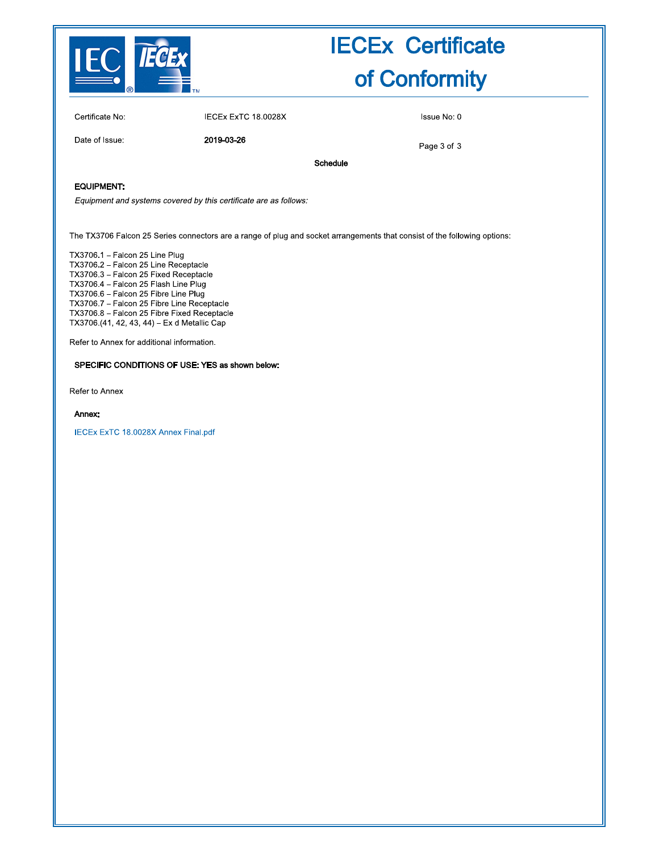

## **IECEx Certificate** of Conformity

Certificate No:

IECEx ExTC 18.0028X

Issue No: 0

Date of Issue:

2019-03-26

Page 3 of 3

Schedule

#### **EQUIPMENT:**

Equipment and systems covered by this certificate are as follows:

The TX3706 Falcon 25 Series connectors are a range of plug and socket arrangements that consist of the following options:

TX3706.1 - Falcon 25 Line Plug TX3706.2 - Falcon 25 Line Receptacle TX3706.3 - Falcon 25 Fixed Receptacle TX3706.4 - Falcon 25 Flash Line Plug TX3706.6 - Falcon 25 Fibre Line Plug TX3706.7 - Falcon 25 Fibre Line Receptacle TX3706.8 - Falcon 25 Fibre Fixed Receptacle TX3706.(41, 42, 43, 44) - Ex d Metallic Cap

Refer to Annex for additional information.

#### SPECIFIC CONDITIONS OF USE: YES as shown below:

Refer to Annex

#### Annex:

IECEx ExTC 18.0028X Annex Final.pdf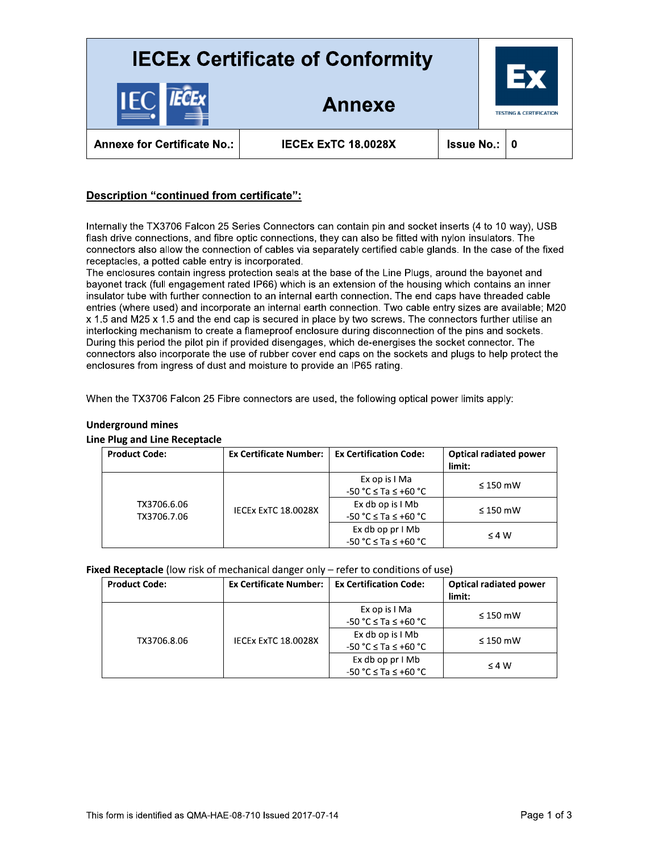

## <u>Description "continued from certificate":</u>

**Description "Continued from certificate"**<br>
halan dive corrections, and first quantities and contexts controlled by the first state files that the file of<br>
corrections and since the file of the state of the state of the b Annexe for Certificate No.: IECEX EXTC 18.0028X<br>
ISSUE No.: 0<br>
Description "continued from certificate":<br>
Internally the TX3706 Falcon 25 Series Connections, they can also be flied with nylon insulators. The<br>
Internally th entries (where used) and incorporate an internal earth connection. Two cable entry sizes are availated in the end cap is secured in place by two screws. The connectors further utility interbocking mechanism to create a fl

| <b>Product Code:</b> | Ex Certificate Number:   Ex Certification Code: |                              | <b>Optical radiated power</b><br>limit: |
|----------------------|-------------------------------------------------|------------------------------|-----------------------------------------|
|                      |                                                 | Ex op is I Ma                | $\leq$ 150 mW                           |
|                      |                                                 | $-50 °C \leq Ta \leq +60 °C$ |                                         |
| TX3706.6.06          | IECEX ExTC 18.0028X                             | Ex db op is I Mb             | $\leq$ 150 mW                           |
| TX3706.7.06          |                                                 | $-50 °C \leq Ta \leq +60 °C$ |                                         |
|                      |                                                 | Ex db op $prIMb$             | $\leq 4 W$                              |
|                      |                                                 | $-50 °C \leq Ta \leq +60 °C$ |                                         |

### Underground mines

### Line Plug and Line Receptacle

#### **Fixed Receptacle** (low risk of mechanical danger only – refer to conditions of use)

| <b>Product Code:</b> | <b>Ex Certificate Number:</b> | <b>Ex Certification Code:</b> | <b>Optical radiated power</b> |
|----------------------|-------------------------------|-------------------------------|-------------------------------|
|                      |                               |                               | limit:                        |
|                      |                               | Ex op is I Ma                 | $\leq$ 150 mW                 |
|                      |                               | $-50 °C \leq Ta \leq +60 °C$  |                               |
| TX3706.8.06          | IECEX EXTC 18.0028X           | Ex db op is I Mb              | $\leq$ 150 mW                 |
|                      |                               | $-50 °C \leq Ta \leq +60 °C$  |                               |
|                      |                               | Ex db op prIMb                | $\leq 4 W$                    |
|                      |                               | $-50 °C \le Ta \le +60 °C$    |                               |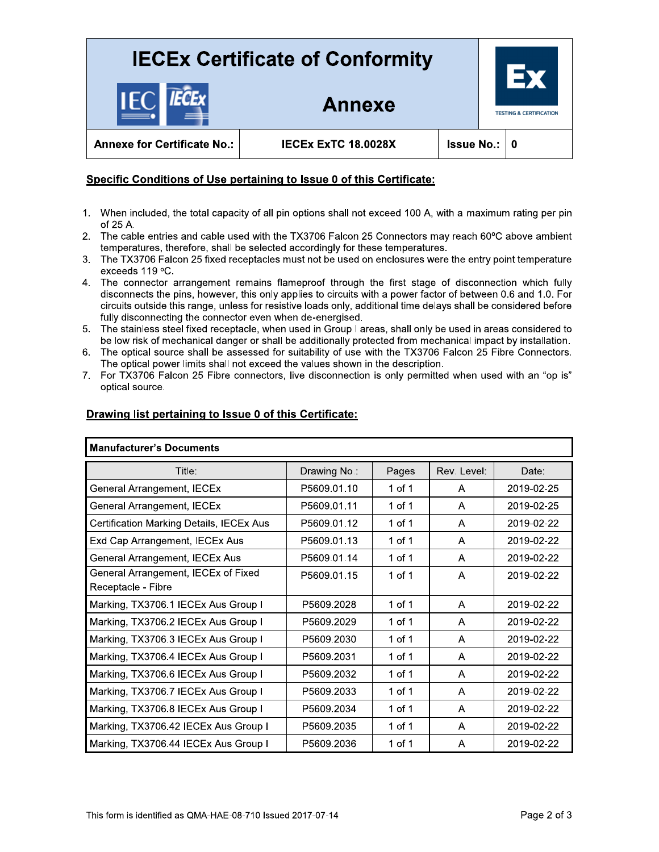## **IECEx Certificate of Conformity**

Annexe



**Annexe for Certificate No.:** 

**IECEX EXTC 18.0028X** 

### Specific Conditions of Use pertaining to Issue 0 of this Certificate:

- 1. When included, the total capacity of all pin options shall not exceed 100 A, with a maximum rating per pin of 25 A.
- 2. The cable entries and cable used with the TX3706 Falcon 25 Connectors may reach 60°C above ambient temperatures, therefore, shall be selected accordingly for these temperatures.
- 3. The TX3706 Falcon 25 fixed receptacles must not be used on enclosures were the entry point temperature exceeds 119 °C.
- 4. The connector arrangement remains flameproof through the first stage of disconnection which fully disconnects the pins, however, this only applies to circuits with a power factor of between 0.6 and 1.0. For circuits outside this range, unless for resistive loads only, additional time delays shall be considered before fully disconnecting the connector even when de-energised.
- 5. The stainless steel fixed receptacle, when used in Group I areas, shall only be used in areas considered to be low risk of mechanical danger or shall be additionally protected from mechanical impact by installation.
- The optical source shall be assessed for suitability of use with the TX3706 Falcon 25 Fibre Connectors. 6. The optical power limits shall not exceed the values shown in the description.
- 7. For TX3706 Falcon 25 Fibre connectors, live disconnection is only permitted when used with an "op is" optical source.

| <b>Manufacturer's Documents</b>                           |              |        |              |            |
|-----------------------------------------------------------|--------------|--------|--------------|------------|
| Title:                                                    | Drawing No.: | Pages  | Rev. Level:  | Date:      |
| General Arrangement, IECEx                                | P5609.01.10  | 1 of 1 | A            | 2019-02-25 |
| General Arrangement, IECEx                                | P5609.01.11  | 1 of 1 | A            | 2019-02-25 |
| Certification Marking Details, IECEx Aus                  | P5609.01.12  | 1 of 1 | A            | 2019-02-22 |
| Exd Cap Arrangement, IECEx Aus                            | P5609.01.13  | 1 of 1 | $\mathsf{A}$ | 2019-02-22 |
| General Arrangement, IECEx Aus                            | P5609.01.14  | 1 of 1 | A            | 2019-02-22 |
| General Arrangement, IECEx of Fixed<br>Receptacle - Fibre | P5609.01.15  | 1 of 1 | A            | 2019-02-22 |
| Marking, TX3706.1 IECEx Aus Group I                       | P5609.2028   | 1 of 1 | A            | 2019-02-22 |
| Marking, TX3706.2 IECEx Aus Group I                       | P5609.2029   | 1 of 1 | A            | 2019-02-22 |
| Marking, TX3706.3 IECEx Aus Group I                       | P5609.2030   | 1 of 1 | A            | 2019-02-22 |
| Marking, TX3706.4 IECEx Aus Group I                       | P5609.2031   | 1 of 1 | A            | 2019-02-22 |
| Marking, TX3706.6 IECEx Aus Group I                       | P5609.2032   | 1 of 1 | A            | 2019-02-22 |
| Marking, TX3706.7 IECEx Aus Group I                       | P5609.2033   | 1 of 1 | A            | 2019-02-22 |
| Marking, TX3706.8 IECEx Aus Group I                       | P5609.2034   | 1 of 1 | A            | 2019-02-22 |
| Marking, TX3706.42 IECEx Aus Group I                      | P5609.2035   | 1 of 1 | A            | 2019-02-22 |
| Marking, TX3706.44 IECEx Aus Group I                      | P5609.2036   | 1 of 1 | A            | 2019-02-22 |

### Drawing list pertaining to Issue 0 of this Certificate: